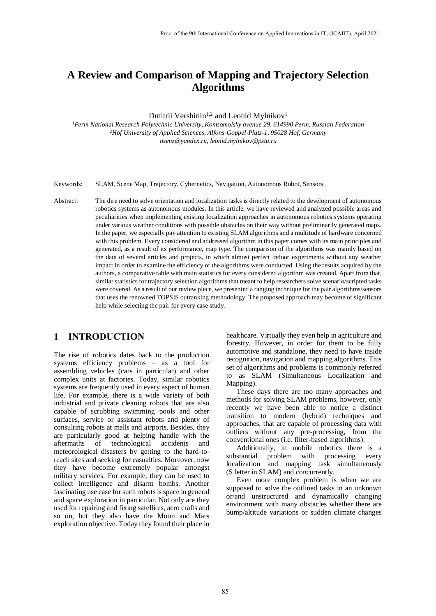# **A Review and Comparison of Mapping and Trajectory Selection Algorithms**

Dmitrii Vershinin<sup>1,2</sup> and Leonid Mylnikov<sup>1</sup>

*<sup>1</sup>Perm National Research Polytechnic University, Komsomolsky avenue 29, 614990 Perm, Russian Federation <sup>2</sup>Hof University of Applied Sciences, Alfons-Goppel-Platz-1, 95028 Hof, Germany nsenz@yandex.ru, leonid.mylnikov@pstu.ru*

Keywords: SLAM, Scene Map, Trajectory, Cybernetics, Navigation, Autonomous Robot, Sensors.

Abstract: The dire need to solve orientation and localization tasks is directly related to the development of autonomous robotics systems as autonomous modules. In this article, we have reviewed and analyzed possible areas and peculiarities when implementing existing localization approaches in autonomous robotics systems operating under various weather conditions with possible obstacles on their way without preliminarily generated maps. In the paper, we especially pay attention to existing SLAM algorithms and a multitude of hardware concerned with this problem. Every considered and addressed algorithm in this paper comes with its main principles and generated, as a result of its performance, map type. The comparison of the algorithms was mainly based on the data of several articles and projects, in which almost perfect indoor experiments without any weather impact in order to examine the efficiency of the algorithms were conducted. Using the results acquired by the authors, a comparative table with main statistics for every considered algorithm was created. Apart from that, similar statistics for trajectory selection algorithms that meant to help researchers solve scenario/scripted tasks were covered. As a result of our review piece, we presented a ranging technique for the pair algorithms/sensors that uses the renowned TOPSIS outranking methodology. The proposed approach may become of significant help while selecting the pair for every case study.

#### **1 INTRODUCTION**

The rise of robotics dates back to the production systems efficiency problems – as a tool for assembling vehicles (cars in particular) and other complex units at factories. Today, similar robotics systems are frequently used in every aspect of human life. For example, there is a wide variety of both industrial and private cleaning robots that are also capable of scrubbing swimming pools and other surfaces, service or assistant robots and plenty of consulting robots at malls and airports. Besides, they are particularly good at helping handle with the aftermaths of technological accidents and meteorological disasters by getting to the hard-toreach sites and seeking for casualties. Moreover, now they have become extremely popular amongst military services. For example, they can be used to collect intelligence and disarm bombs. Another fascinating use case for such robots is space in general and space exploration in particular. Not only are they used for repairing and fixing satellites, aero crafts and so on, but they also have the Moon and Mars exploration objective. Today they found their place in

healthcare. Virtually they even help in agriculture and forestry. However, in order for them to be fully automotive and standalone, they need to have inside recognition, navigation and mapping algorithms. This set of algorithms and problems is commonly referred to as SLAM (Simultaneous Localization and Mapping).

These days there are too many approaches and methods for solving SLAM problems, however, only recently we have been able to notice a distinct transition to modern (hybrid) techniques and approaches, that are capable of processing data with outliers without any pre-processing, from the conventional ones (i.e. filter-based algorithms).

Additionally, in mobile robotics there is a substantial problem with processing every localization and mapping task simultaneously (S letter in SLAM) and concurrently.

Even more complex problem is when we are supposed to solve the outlined tasks in an unknown or/and unstructured and dynamically changing environment with many obstacles whether there are bump/altitude variations or sudden climate changes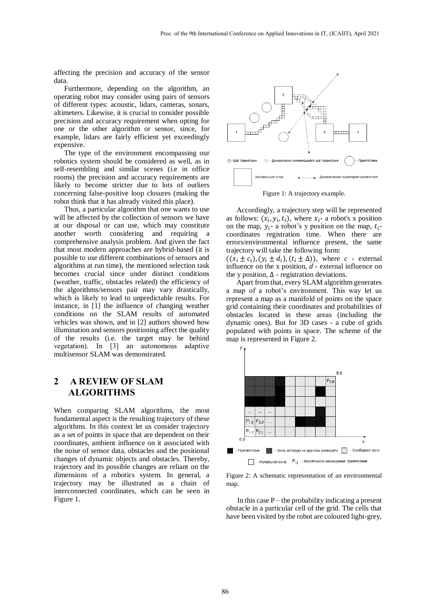affecting the precision and accuracy of the sensor data.

Furthermore, depending on the algorithm, an operating robot may consider using pairs of sensors of different types: acoustic, lidars, cameras, sonars, altimeters. Likewise, it is crucial to consider possible precision and accuracy requirement when opting for one or the other algorithm or sensor, since, for example, lidars are fairly efficient yet exceedingly expensive.

The type of the environment encompassing our robotics system should be considered as well, as in self-resembling and similar scenes (i.e in office rooms) the precision and accuracy requirements are likely to become stricter due to lots of outliers concerning false-positive loop closures (making the robot think that it has already visited this place).

Thus, a particular algorithm that one wants to use will be affected by the collection of sensors we have at our disposal or can use, which may constitute another worth considering and requiring a comprehensive analysis problem. And given the fact that most modern approaches are hybrid-based (it is possible to use different combinations of sensors and algorithms at run time), the mentioned selection task becomes crucial since under distinct conditions (weather, traffic, obstacles related) the efficiency of the algorithms/sensors pair may vary drastically, which is likely to lead to unpredictable results. For instance, in [1] the influence of changing weather conditions on the SLAM results of automated vehicles was shown, and in [2] authors showed how illumination and sensors positioning affect the quality of the results (i.e. the target may be behind vegetation). In [3] an autonomous adaptive multisensor SLAM was demonstrated.

# **2 A REVIEW OF SLAM ALGORITHMS**

When comparing SLAM algorithms, the most fundamental aspect is the resulting trajectory of these algorithms. In this context let us consider trajectory as a set of points in space that are dependent on their coordinates, ambient influence on it associated with the noise of sensor data, obstacles and the positional changes of dynamic objects and obstacles. Thereby, trajectory and its possible changes are reliant on the dimensions of a robotics system. In general, a trajectory may be illustrated as a chain of interconnected coordinates, which can be seen in Figure 1.



Figure 1: A trajectory example.

Accordingly, a trajectory step will be represented as follows:  $(x_i, y_i, t_i)$ , where  $x_i$ - a robot's x position on the map,  $y_i$ - a robot's y position on the map,  $t_i$ coordinates registration time. When there are errors/environmental influence present, the same trajectory will take the following form:

 $((x_i \pm c_i), (y_i \pm d_i), (t_i \pm \Delta))$ , where *c* - external influence on the x position, *d* - external influence on the y position,  $\Delta$  - registration deviations.

Apart from that, every SLAM algorithm generates a map of a robot's environment. This way let us represent a map as a manifold of points on the space grid containing their coordinates and probabilities of obstacles located in these areas (including the dynamic ones). But for 3D cases - a cube of grids populated with points in space. The scheme of the map is represented in Figure 2.



Figure 2: A schematic representation of an environmental map.

In this case  $P$  – the probability indicating a present obstacle in a particular cell of the grid. The cells that have been visited by the robot are coloured light-grey,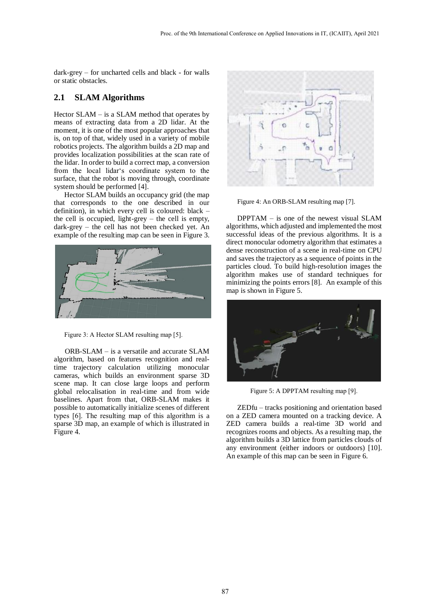dark-grey – for uncharted cells and black - for walls or static obstacles.

#### **2.1 SLAM Algorithms**

Hector SLAM – is a SLAM method that operates by means of extracting data from a 2D lidar. At the moment, it is one of the most popular approaches that is, on top of that, widely used in a variety of mobile robotics projects. The algorithm builds a 2D map and provides localization possibilities at the scan rate of the lidar. In order to build a correct map, a conversion from the local lidar's coordinate system to the surface, that the robot is moving through, coordinate system should be performed [4].

Hector SLAM builds an occupancy grid (the map that corresponds to the one described in our definition), in which every cell is coloured: black – the cell is occupied, light-grey – the cell is empty, dark-grey – the cell has not been checked yet. An example of the resulting map can be seen in Figure 3.



Figure 3: A Hector SLAM resulting map [5].

ORB-SLAM – is a versatile and accurate SLAM algorithm, based on features recognition and realtime trajectory calculation utilizing monocular cameras, which builds an environment sparse 3D scene map. It can close large loops and perform global relocalisation in real-time and from wide baselines. Apart from that, ORB-SLAM makes it possible to automatically initialize scenes of different types [6]. The resulting map of this algorithm is a sparse 3D map, an example of which is illustrated in Figure 4.



Figure 4: An ORB-SLAM resulting map [7].

DPPTAM – is one of the newest visual SLAM algorithms, which adjusted and implemented the most successful ideas of the previous algorithms. It is a direct monocular odometry algorithm that estimates a dense reconstruction of a scene in real-time on CPU and saves the trajectory as a sequence of points in the particles cloud. To build high-resolution images the algorithm makes use of standard techniques for minimizing the points errors [8]. An example of this map is shown in Figure 5.



Figure 5: A DPPTAM resulting map [9].

ZEDfu – tracks positioning and orientation based on a ZED camera mounted on a tracking device. A ZED camera builds a real-time 3D world and recognizes rooms and objects. As a resulting map, the algorithm builds a 3D lattice from particles clouds of any environment (either indoors or outdoors) [10]. An example of this map can be seen in Figure 6.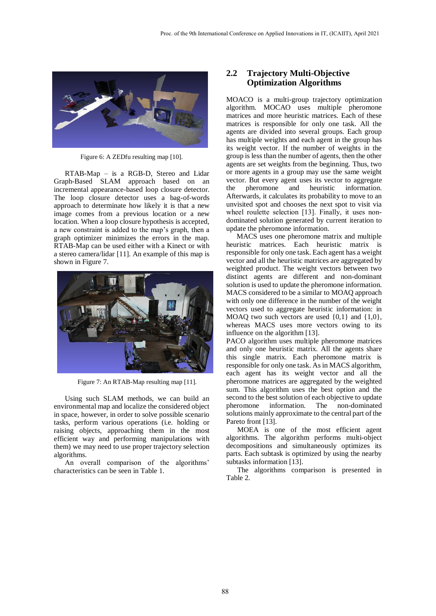

Figure 6: A ZEDfu resulting map [10].

RTAB-Map – is a RGB-D, Stereo and Lidar Graph-Based SLAM approach based on an incremental appearance-based loop closure detector. The loop closure detector uses a bag-of-words approach to determinate how likely it is that a new image comes from a previous location or a new location. When a loop closure hypothesis is accepted, a new constraint is added to the map's graph, then a graph optimizer minimizes the errors in the map. RTAB-Map can be used either with a Kinect or with a stereo camera/lidar [11]. An example of this map is shown in Figure 7.



Figure 7: An RTAB-Map resulting map [11].

Using such SLAM methods, we can build an environmental map and localize the considered object in space, however, in order to solve possible scenario tasks, perform various operations (i.e. holding or raising objects, approaching them in the most efficient way and performing manipulations with them) we may need to use proper trajectory selection algorithms.

An overall comparison of the algorithms' characteristics can be seen in Table 1.

#### **2.2 Trajectory Multi-Objective Optimization Algorithms**

MOACO is a multi-group trajectory optimization algorithm. MOCAO uses multiple pheromone matrices and more heuristic matrices. Each of these matrices is responsible for only one task. All the agents are divided into several groups. Each group has multiple weights and each agent in the group has its weight vector. If the number of weights in the group is less than the number of agents, then the other agents are set weights from the beginning. Thus, two or more agents in a group may use the same weight vector. But every agent uses its vector to aggregate the pheromone and heuristic information. Afterwards, it calculates its probability to move to an unvisited spot and chooses the next spot to visit via wheel roulette selection [13]. Finally, it uses nondominated solution generated by current iteration to update the pheromone information.

MACS uses one pheromone matrix and multiple heuristic matrices. Each heuristic matrix is responsible for only one task. Each agent has a weight vector and all the heuristic matrices are aggregated by weighted product. The weight vectors between two distinct agents are different and non-dominant solution is used to update the pheromone information. MACS considered to be a similar to MOAQ approach with only one difference in the number of the weight vectors used to aggregate heuristic information: in MOAQ two such vectors are used  $\{0,1\}$  and  $\{1,0\}$ , whereas MACS uses more vectors owing to its influence on the algorithm [13].

PACO algorithm uses multiple pheromone matrices and only one heuristic matrix. All the agents share this single matrix. Each pheromone matrix is responsible for only one task. As in MACS algorithm, each agent has its weight vector and all the pheromone matrices are aggregated by the weighted sum. This algorithm uses the best option and the second to the best solution of each objective to update pheromone information. The non-dominated solutions mainly approximate to the central part of the Pareto front [13].

MOEA is one of the most efficient agent algorithms. The algorithm performs multi-object decompositions and simultaneously optimizes its parts. Each subtask is optimized by using the nearby subtasks information [13].

The algorithms comparison is presented in Table 2.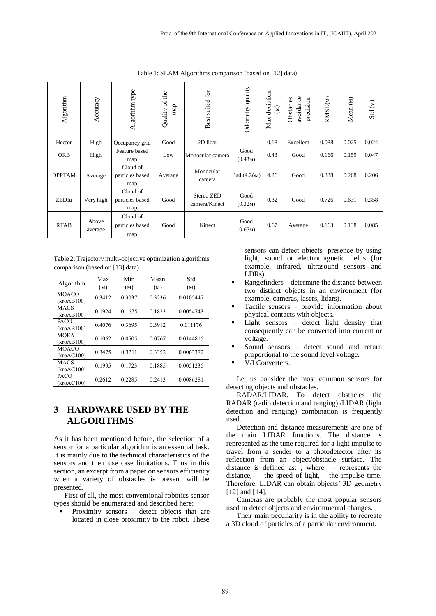Table 1: SLAM Algorithms comparison (based on [12] data).

| Algorithm     | Accuracy         | Algorithm type                     | Quality of the<br>map | Best suited for             | Odometry quality             | deviation<br>$\widehat{\boldsymbol{\epsilon}}$<br>Max | avoidance<br>Obstacles<br>precision | RMSE(M) | Mean (M) | $\operatorname{Std}\left( M\right)$ |
|---------------|------------------|------------------------------------|-----------------------|-----------------------------|------------------------------|-------------------------------------------------------|-------------------------------------|---------|----------|-------------------------------------|
| Hector        | High             | Occupancy grid                     | Good                  | 2D lidar                    | $\overline{\phantom{0}}$     | 0.18                                                  | Excellent                           | 0.088   | 0.025    | 0.024                               |
| <b>ORB</b>    | High             | Feature based<br>map               | Low                   | Monocular camera            | Good<br>(0.43 <sub>M</sub> ) | 0.43                                                  | Good                                | 0.166   | 0.159    | 0.047                               |
| <b>DPPTAM</b> | Average          | Cloud of<br>particles based<br>map | Average               | Monocular<br>camera         | Bad (4.26 <sub>M</sub> )     | 4.26                                                  | Good                                | 0.338   | 0.268    | 0.206                               |
| ZEDfu         | Very high        | Cloud of<br>particles based<br>map | Good                  | Stereo ZED<br>camera/Kinect | Good<br>(0.32M)              | 0.32                                                  | Good                                | 0.726   | 0.631    | 0.358                               |
| <b>RTAB</b>   | Above<br>average | Cloud of<br>particles based<br>map | Good                  | Kinect                      | Good<br>(0.67 <sub>M</sub> ) | 0.67                                                  | Average                             | 0.163   | 0.138    | 0.085                               |

Table 2: Trajectory multi-objective optimization algorithms comparison (based on [13] data).

|              | Max    | Min    | Mean   | Std       |  |  |
|--------------|--------|--------|--------|-----------|--|--|
| Algorithm    | (M)    | (M)    | (M)    | (M)       |  |  |
| <b>MOACO</b> | 0.3412 | 0.3037 | 0.3236 | 0.0105447 |  |  |
| (kroAB100)   |        |        |        |           |  |  |
| <b>MACS</b>  | 0.1924 | 0.1675 | 0.1823 | 0.0054743 |  |  |
| (kroAB100)   |        |        |        |           |  |  |
| <b>PACO</b>  | 0.4076 | 0.3695 | 0.3912 | 0.011176  |  |  |
| (kroAB100)   |        |        |        |           |  |  |
| <b>MOEA</b>  | 0.1062 | 0.0505 | 0.0767 | 0.0144815 |  |  |
| (kroAB100)   |        |        |        |           |  |  |
| <b>MOACO</b> | 0.3475 | 0.3211 | 0.3352 | 0.0063372 |  |  |
| (kroAC100)   |        |        |        |           |  |  |
| <b>MACS</b>  | 0.1995 | 0.1723 | 0.1885 | 0.0051235 |  |  |
| (kroAC100)   |        |        |        |           |  |  |
| PACO         | 0.2612 | 0.2285 | 0.2413 | 0.0086281 |  |  |
| (kroAC100)   |        |        |        |           |  |  |

### **3 HARDWARE USED BY THE ALGORITHMS**

As it has been mentioned before, the selection of a sensor for a particular algorithm is an essential task. It is mainly due to the technical characteristics of the sensors and their use case limitations. Thus in this section, an excerpt from a paper on sensors efficiency when a variety of obstacles is present will be presented.

First of all, the most conventional robotics sensor types should be enumerated and described here:

 Proximity sensors – detect objects that are located in close proximity to the robot. These

sensors can detect objects' presence by using light, sound or electromagnetic fields (for example, infrared, ultrasound sensors and LDRs).

- Rangefinders determine the distance between two distinct objects in an environment (for example, cameras, lasers, lidars).
- Tactile sensors provide information about physical contacts with objects.
- Light sensors detect light density that consequently can be converted into current or voltage.
- Sound sensors detect sound and return proportional to the sound level voltage.
- V/I Converters.

Let us consider the most common sensors for detecting objects and obstacles.

RADAR/LIDAR. To detect obstacles the RADAR (radio detection and ranging) /LIDAR (light detection and ranging) combination is frequently used.

Detection and distance measurements are one of the main LIDAR functions. The distance is represented as the time required for a light impulse to travel from a sender to a photodetector after its reflection from an object/obstacle surface. The distance is defined as: , where – represents the distance,  $-$  the speed of light,  $-$  the impulse time. Therefore, LIDAR can obtain objects' 3D geometry [12] and [14].

Cameras are probably the most popular sensors used to detect objects and environmental changes.

Their main peculiarity is in the ability to recreate a 3D cloud of particles of a particular environment.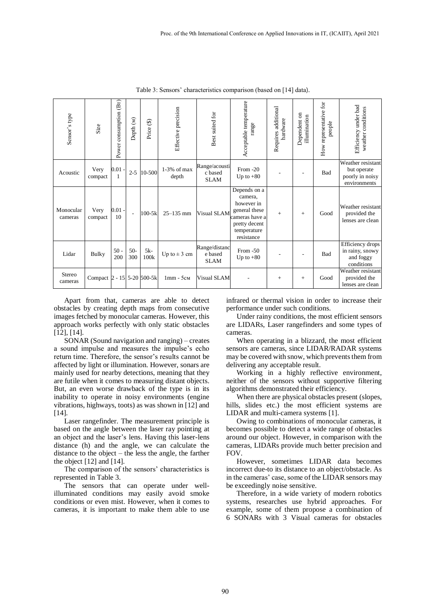| Sensor's type        | Size                       | (Br)<br>Power consumption | Depth (M)      | Price (\$)    | Effective precision    | Best suited for                         | Acceptable temperature<br>range                                                                                        | Requires additional<br>hardware | Dependent on<br>illumination | How representative for<br>people | Efficiency under bad<br>weather conditions                          |
|----------------------|----------------------------|---------------------------|----------------|---------------|------------------------|-----------------------------------------|------------------------------------------------------------------------------------------------------------------------|---------------------------------|------------------------------|----------------------------------|---------------------------------------------------------------------|
| Acoustic             | Very<br>compact            | 0.01                      | $2 - 5$        | 10-500        | $1-3%$ of max<br>depth | Range/acousti<br>c based<br><b>SLAM</b> | From -20<br>Up to $+80$                                                                                                |                                 |                              | Bad                              | Weather resistant<br>but operate<br>poorly in noisy<br>environments |
| Monocular<br>cameras | Very<br>compact            | $0.01 -$<br>10            | $\overline{a}$ | $100 - 5k$    | $25 - 135$ mm          | Visual SLAM                             | Depends on a<br>camera,<br>however in<br>general these<br>cameras have a<br>pretty decent<br>temperature<br>resistance | $+$                             | $+$                          | Good                             | Weather resistant<br>provided the<br>lenses are clean               |
| Lidar                | <b>Bulky</b>               | $50 -$<br>200             | $50-$<br>300   | $5k-$<br>100k | Up to $\pm$ 3 cm       | Range/distanc<br>e based<br><b>SLAM</b> | From $-50$<br>Up to $+80$                                                                                              |                                 |                              | Bad                              | Efficiency drops<br>in rainy, snowy<br>and foggy<br>conditions      |
| Stereo<br>cameras    | Compact 2 - 15 5-20 500-5k |                           |                |               | $1mm - 5cm$            | Visual SLAM                             |                                                                                                                        | $+$                             | $+$                          | Good                             | Weather resistant<br>provided the<br>lenses are clean               |

Table 3: Sensors' characteristics comparison (based on [14] data).

Apart from that, cameras are able to detect obstacles by creating depth maps from consecutive images fetched by monocular cameras. However, this approach works perfectly with only static obstacles [12], [14].

SONAR (Sound navigation and ranging) – creates a sound impulse and measures the impulse's echo return time. Therefore, the sensor's results cannot be affected by light or illumination. However, sonars are mainly used for nearby detections, meaning that they are futile when it comes to measuring distant objects. But, an even worse drawback of the type is in its inability to operate in noisy environments (engine vibrations, highways, toots) as was shown in [12] and [14].

Laser rangefinder. The measurement principle is based on the angle between the laser ray pointing at an object and the laser's lens. Having this laser-lens distance (h) and the angle, we can calculate the distance to the object – the less the angle, the farther the object [12] and [14].

The comparison of the sensors' characteristics is represented in Table 3.

The sensors that can operate under wellilluminated conditions may easily avoid smoke conditions or even mist. However, when it comes to cameras, it is important to make them able to use

infrared or thermal vision in order to increase their performance under such conditions.

Under rainy conditions, the most efficient sensors are LIDARs, Laser rangefinders and some types of cameras.

When operating in a blizzard, the most efficient sensors are cameras, since LIDAR/RADAR systems may be covered with snow, which prevents them from delivering any acceptable result.

Working in a highly reflective environment, neither of the sensors without supportive filtering algorithms demonstrated their efficiency.

When there are physical obstacles present (slopes, hills, slides etc.) the most efficient systems are LIDAR and multi-camera systems [1].

Owing to combinations of monocular cameras, it becomes possible to detect a wide range of obstacles around our object. However, in comparison with the cameras, LIDARs provide much better precision and FOV.

However, sometimes LIDAR data becomes incorrect due-to its distance to an object/obstacle. As in the cameras' case, some of the LIDAR sensors may be exceedingly noise sensitive.

Therefore, in a wide variety of modern robotics systems, researches use hybrid approaches. For example, some of them propose a combination of 6 SONARs with 3 Visual cameras for obstacles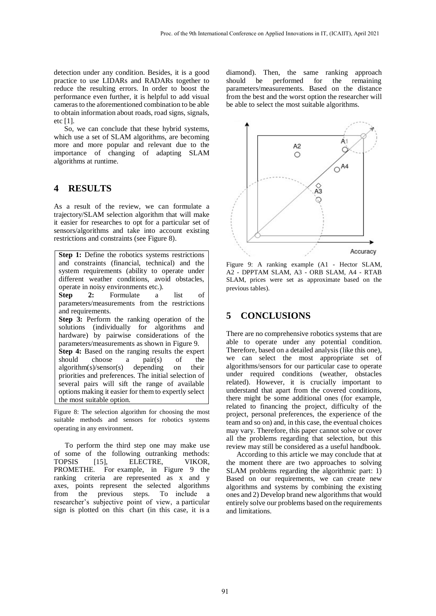detection under any condition. Besides, it is a good practice to use LIDARs and RADARs together to reduce the resulting errors. In order to boost the performance even further, it is helpful to add visual cameras to the aforementioned combination to be able to obtain information about roads, road signs, signals, etc [1].

So, we can conclude that these hybrid systems, which use a set of SLAM algorithms, are becoming more and more popular and relevant due to the importance of changing of adapting SLAM algorithms at runtime.

### **4 RESULTS**

As a result of the review, we can formulate a trajectory/SLAM selection algorithm that will make it easier for researches to opt for a particular set of sensors/algorithms and take into account existing restrictions and constraints (see Figure 8).

**Step 1:** Define the robotics systems restrictions and constraints (financial, technical) and the system requirements (ability to operate under different weather conditions, avoid obstacles, operate in noisy environments etc.). **Step 2:** Formulate a list of parameters/measurements from the restrictions and requirements. **Step 3:** Perform the ranking operation of the solutions (individually for algorithms and hardware) by pairwise considerations of the parameters/measurements as shown in Figure 9. **Step 4:** Based on the ranging results the expert should choose a pair(s) of the algorithm(s)/sensor(s) depending on their priorities and preferences. The initial selection of several pairs will sift the range of available options making it easier for them to expertly select the most suitable option.

Figure 8: The selection algorithm for choosing the most suitable methods and sensors for robotics systems operating in any environment.

To perform the third step one may make use of some of the following outranking methods: TOPSIS [15], ELECTRE, VIKOR, PROMETHE. For example, in Figure 9 the ranking criteria are represented as x and y axes, points represent the selected algorithms from the previous steps. To include a researcher's subjective point of view, a particular sign is plotted on this chart (in this case, it is a

diamond). Then, the same ranking approach should be performed for the remaining parameters/measurements. Based on the distance from the best and the worst option the researcher will be able to select the most suitable algorithms.



Figure 9: A ranking example (A1 - Hector SLAM, A2 - DPPTAM SLAM, A3 - ORB SLAM, A4 - RTAB SLAM, prices were set as approximate based on the previous tables).

## **5 CONCLUSIONS**

There are no comprehensive robotics systems that are able to operate under any potential condition. Therefore, based on a detailed analysis (like this one), we can select the most appropriate set of algorithms/sensors for our particular case to operate under required conditions (weather, obstacles related). However, it is crucially important to understand that apart from the covered conditions, there might be some additional ones (for example, related to financing the project, difficulty of the project, personal preferences, the experience of the team and so on) and, in this case, the eventual choices may vary. Therefore, this paper cannot solve or cover all the problems regarding that selection, but this review may still be considered as a useful handbook.

According to this article we may conclude that at the moment there are two approaches to solving SLAM problems regarding the algorithmic part: 1) Based on our requirements, we can create new algorithms and systems by combining the existing ones and 2) Develop brand new algorithms that would entirely solve our problems based on the requirements and limitations.